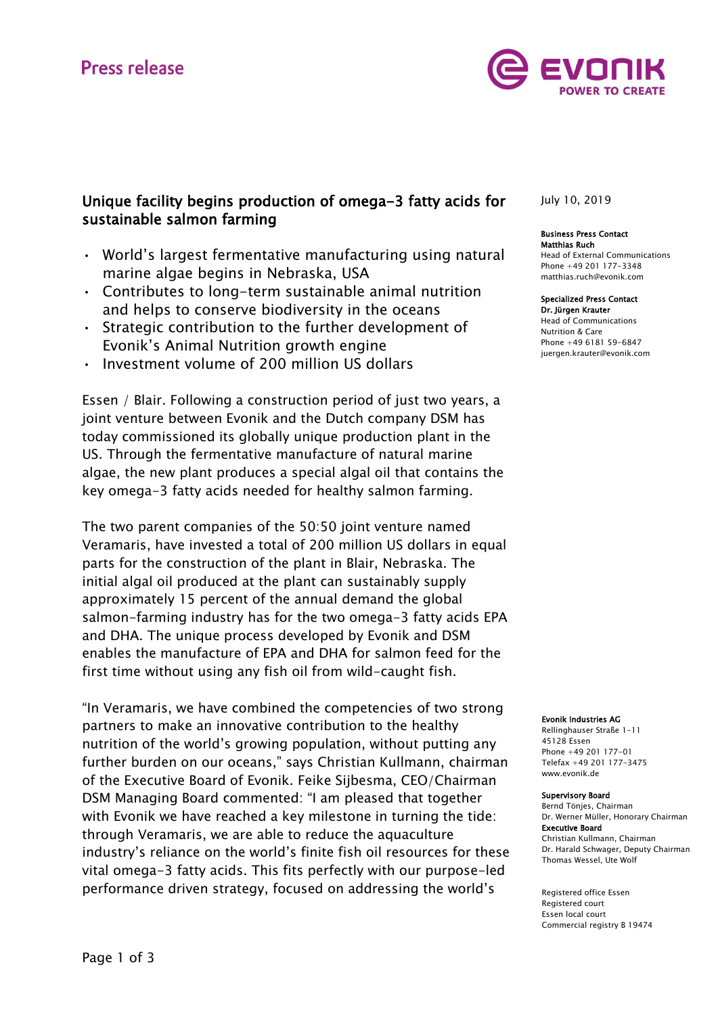

# Unique facility begins production of omega-3 fatty acids for sustainable salmon farming

- World's largest fermentative manufacturing using natural marine algae begins in Nebraska, USA
- Contributes to long-term sustainable animal nutrition and helps to conserve biodiversity in the oceans
- Strategic contribution to the further development of Evonik's Animal Nutrition growth engine
- Investment volume of 200 million US dollars

Essen / Blair. Following a construction period of just two years, a joint venture between Evonik and the Dutch company DSM has today commissioned its globally unique production plant in the US. Through the fermentative manufacture of natural marine algae, the new plant produces a special algal oil that contains the key omega-3 fatty acids needed for healthy salmon farming.

The two parent companies of the 50:50 joint venture named Veramaris, have invested a total of 200 million US dollars in equal parts for the construction of the plant in Blair, Nebraska. The initial algal oil produced at the plant can sustainably supply approximately 15 percent of the annual demand the global salmon-farming industry has for the two omega-3 fatty acids EPA and DHA. The unique process developed by Evonik and DSM enables the manufacture of EPA and DHA for salmon feed for the first time without using any fish oil from wild-caught fish.

"In Veramaris, we have combined the competencies of two strong partners to make an innovative contribution to the healthy nutrition of the world's growing population, without putting any further burden on our oceans," says Christian Kullmann, chairman of the Executive Board of Evonik. Feike Sijbesma, CEO/Chairman DSM Managing Board commented: "I am pleased that together with Evonik we have reached a key milestone in turning the tide: through Veramaris, we are able to reduce the aquaculture industry's reliance on the world's finite fish oil resources for these vital omega-3 fatty acids. This fits perfectly with our purpose-led performance driven strategy, focused on addressing the world's

# July 10, 2019

# Business Press Contact Matthias Ruch

Head of External Communications Phone +49 201 177-3348 [matthias.ruch@evonik.com](mailto:matthias.ruch@evonik.com)

#### Specialized Press Contact

Dr. Jürgen Krauter Head of Communications Nutrition & Care Phone +49 6181 59-6847 juergen.krauter@evonik.com

Evonik Industries AG

Rellinghauser Straße 1-11 45128 Essen Phone +49 201 177-01 Telefax +49 201 177-3475 www.evonik.de

#### Supervisory Board

Bernd Tönjes, Chairman Dr. Werner Müller, Honorary Chairman Executive Board Christian Kullmann, Chairman Dr. Harald Schwager, Deputy Chairman Thomas Wessel, Ute Wolf

Registered office Essen Registered court Essen local court Commercial registry B 19474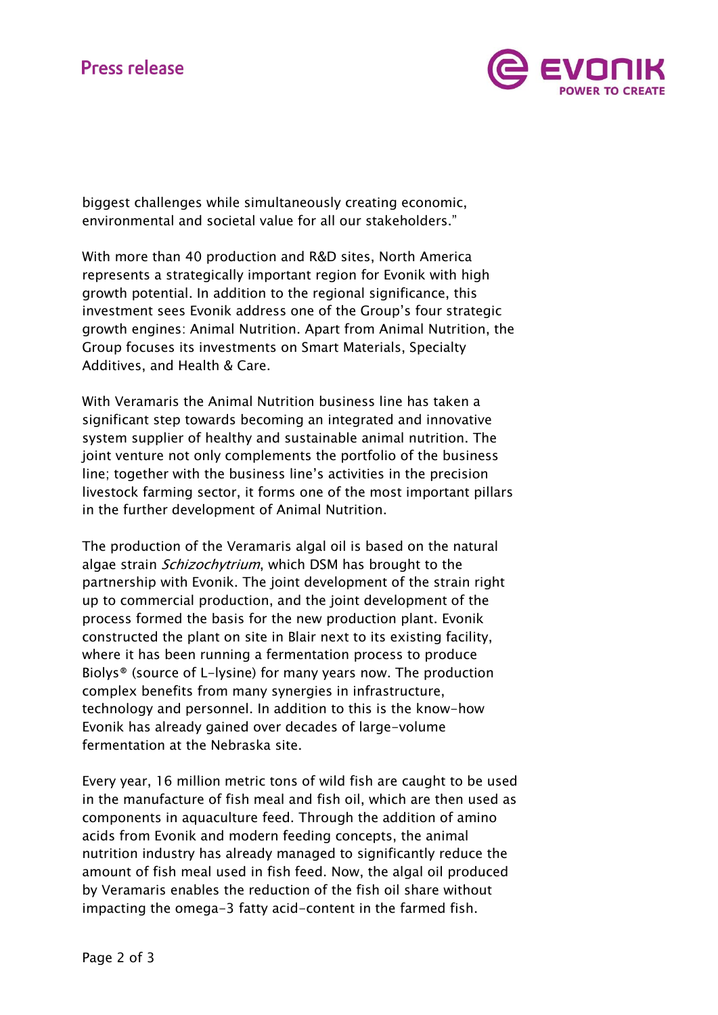

biggest challenges while simultaneously creating economic, environmental and societal value for all our stakeholders."

With more than 40 production and R&D sites, North America represents a strategically important region for Evonik with high growth potential. In addition to the regional significance, this investment sees Evonik address one of the Group's four strategic growth engines: Animal Nutrition. Apart from Animal Nutrition, the Group focuses its investments on Smart Materials, Specialty Additives, and Health & Care.

With Veramaris the Animal Nutrition business line has taken a significant step towards becoming an integrated and innovative system supplier of healthy and sustainable animal nutrition. The joint venture not only complements the portfolio of the business line; together with the business line's activities in the precision livestock farming sector, it forms one of the most important pillars in the further development of Animal Nutrition.

The production of the Veramaris algal oil is based on the natural algae strain *Schizochytrium*, which DSM has brought to the partnership with Evonik. The joint development of the strain right up to commercial production, and the joint development of the process formed the basis for the new production plant. Evonik constructed the plant on site in Blair next to its existing facility, where it has been running a fermentation process to produce Biolys® (source of L-lysine) for many years now. The production complex benefits from many synergies in infrastructure, technology and personnel. In addition to this is the know-how Evonik has already gained over decades of large-volume fermentation at the Nebraska site.

Every year, 16 million metric tons of wild fish are caught to be used in the manufacture of fish meal and fish oil, which are then used as components in aquaculture feed. Through the addition of amino acids from Evonik and modern feeding concepts, the animal nutrition industry has already managed to significantly reduce the amount of fish meal used in fish feed. Now, the algal oil produced by Veramaris enables the reduction of the fish oil share without impacting the omega-3 fatty acid-content in the farmed fish.